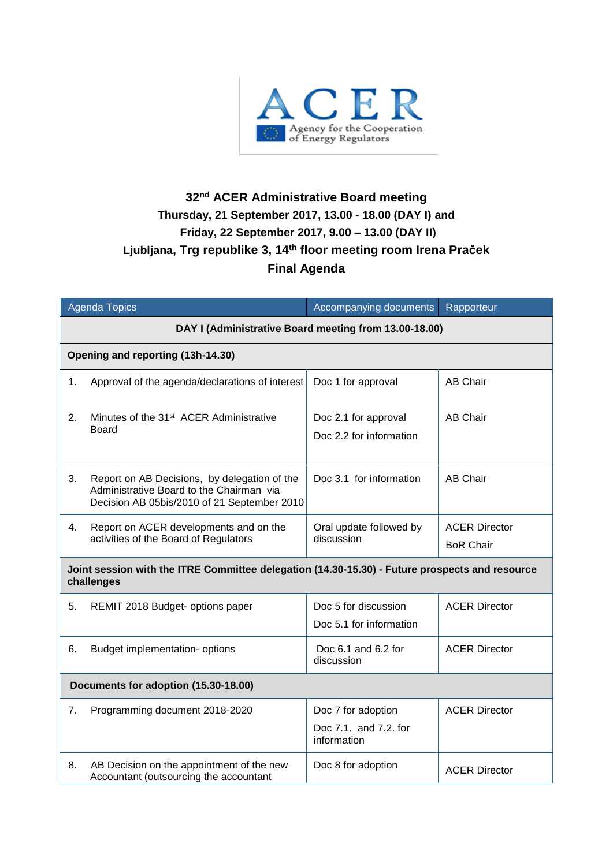

## **32 nd ACER Administrative Board meeting Thursday, 21 September 2017, 13.00 - 18.00 (DAY I) and Friday, 22 September 2017, 9.00 – 13.00 (DAY II) Ljubljana, Trg republike 3, 14th floor meeting room Irena Praček Final Agenda**

| <b>Agenda Topics</b>                                                                                         |                                                                                                                                         | Accompanying documents                                     | Rapporteur                               |  |  |
|--------------------------------------------------------------------------------------------------------------|-----------------------------------------------------------------------------------------------------------------------------------------|------------------------------------------------------------|------------------------------------------|--|--|
| DAY I (Administrative Board meeting from 13.00-18.00)                                                        |                                                                                                                                         |                                                            |                                          |  |  |
| Opening and reporting (13h-14.30)                                                                            |                                                                                                                                         |                                                            |                                          |  |  |
| 1.                                                                                                           | Approval of the agenda/declarations of interest                                                                                         | Doc 1 for approval                                         | <b>AB Chair</b>                          |  |  |
| 2.                                                                                                           | Minutes of the 31 <sup>st</sup> ACER Administrative<br><b>Board</b>                                                                     | Doc 2.1 for approval<br>Doc 2.2 for information            | <b>AB Chair</b>                          |  |  |
| 3.                                                                                                           | Report on AB Decisions, by delegation of the<br>Administrative Board to the Chairman via<br>Decision AB 05bis/2010 of 21 September 2010 | Doc 3.1 for information                                    | <b>AB Chair</b>                          |  |  |
| 4.                                                                                                           | Report on ACER developments and on the<br>activities of the Board of Regulators                                                         | Oral update followed by<br>discussion                      | <b>ACER Director</b><br><b>BoR Chair</b> |  |  |
| Joint session with the ITRE Committee delegation (14.30-15.30) - Future prospects and resource<br>challenges |                                                                                                                                         |                                                            |                                          |  |  |
| 5.                                                                                                           | REMIT 2018 Budget- options paper                                                                                                        | Doc 5 for discussion<br>Doc 5.1 for information            | <b>ACER Director</b>                     |  |  |
| 6.                                                                                                           | Budget implementation- options                                                                                                          | Doc 6.1 and 6.2 for<br>discussion                          | <b>ACER Director</b>                     |  |  |
| Documents for adoption (15.30-18.00)                                                                         |                                                                                                                                         |                                                            |                                          |  |  |
| 7.                                                                                                           | Programming document 2018-2020                                                                                                          | Doc 7 for adoption<br>Doc 7.1. and 7.2. for<br>information | <b>ACER Director</b>                     |  |  |
| 8.                                                                                                           | AB Decision on the appointment of the new<br>Accountant (outsourcing the accountant                                                     | Doc 8 for adoption                                         | <b>ACER Director</b>                     |  |  |